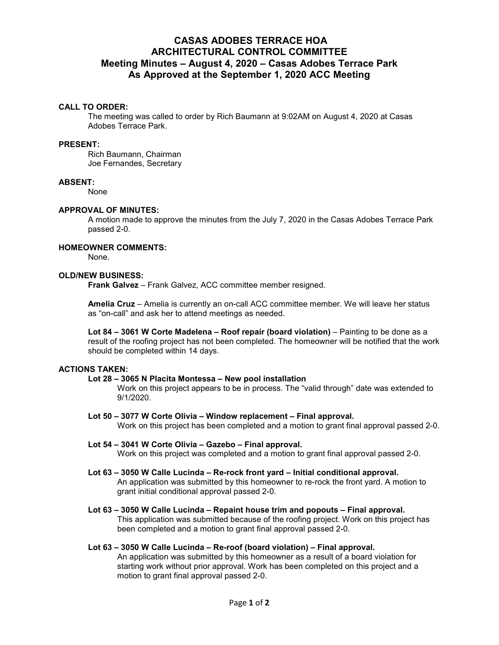# **CASAS ADOBES TERRACE HOA ARCHITECTURAL CONTROL COMMITTEE Meeting Minutes – August 4, 2020 – Casas Adobes Terrace Park As Approved at the September 1, 2020 ACC Meeting**

#### **CALL TO ORDER:**

The meeting was called to order by Rich Baumann at 9:02AM on August 4, 2020 at Casas Adobes Terrace Park.

#### **PRESENT:**

Rich Baumann, Chairman Joe Fernandes, Secretary

#### **ABSENT:**

None

### **APPROVAL OF MINUTES:**

A motion made to approve the minutes from the July 7, 2020 in the Casas Adobes Terrace Park passed 2-0.

#### **HOMEOWNER COMMENTS:**

None.

#### **OLD/NEW BUSINESS:**

 **Frank Galvez** – Frank Galvez, ACC committee member resigned.

**Amelia Cruz** – Amelia is currently an on-call ACC committee member. We will leave her status as "on-call" and ask her to attend meetings as needed.

**Lot 84 – 3061 W Corte Madelena – Roof repair (board violation)** – Painting to be done as a result of the roofing project has not been completed. The homeowner will be notified that the work should be completed within 14 days.

### **ACTIONS TAKEN:**

### **Lot 28 – 3065 N Placita Montessa – New pool installation**

Work on this project appears to be in process. The "valid through" date was extended to 9/1/2020.

 **Lot 50 – 3077 W Corte Olivia – Window replacement – Final approval.** 

Work on this project has been completed and a motion to grant final approval passed 2-0.

## **Lot 54 – 3041 W Corte Olivia – Gazebo – Final approval.**

Work on this project was completed and a motion to grant final approval passed 2-0.

**Lot 63 – 3050 W Calle Lucinda – Re-rock front yard – Initial conditional approval.**  An application was submitted by this homeowner to re-rock the front yard. A motion to grant initial conditional approval passed 2-0.

### **Lot 63 – 3050 W Calle Lucinda – Repaint house trim and popouts – Final approval.**  This application was submitted because of the roofing project. Work on this project has been completed and a motion to grant final approval passed 2-0.

### **Lot 63 – 3050 W Calle Lucinda – Re-roof (board violation) – Final approval.**

An application was submitted by this homeowner as a result of a board violation for starting work without prior approval. Work has been completed on this project and a motion to grant final approval passed 2-0.